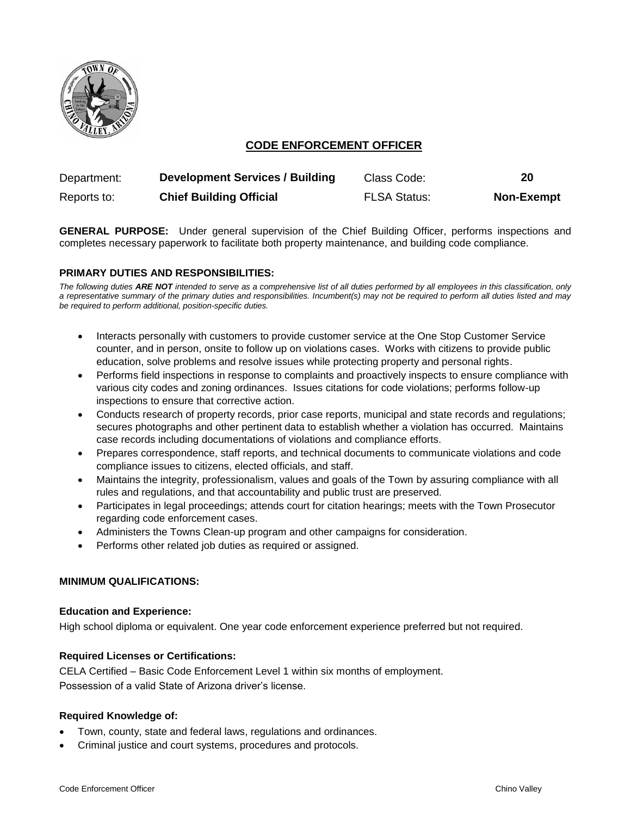

# **CODE ENFORCEMENT OFFICER**

| Department: | <b>Development Services / Building</b> | Class Code:         | 20                |
|-------------|----------------------------------------|---------------------|-------------------|
| Reports to: | <b>Chief Building Official</b>         | <b>FLSA Status:</b> | <b>Non-Exempt</b> |

**GENERAL PURPOSE:** Under general supervision of the Chief Building Officer, performs inspections and completes necessary paperwork to facilitate both property maintenance, and building code compliance.

## **PRIMARY DUTIES AND RESPONSIBILITIES:**

*The following duties ARE NOT intended to serve as a comprehensive list of all duties performed by all employees in this classification, only a representative summary of the primary duties and responsibilities. Incumbent(s) may not be required to perform all duties listed and may be required to perform additional, position-specific duties.*

- Interacts personally with customers to provide customer service at the One Stop Customer Service counter, and in person, onsite to follow up on violations cases. Works with citizens to provide public education, solve problems and resolve issues while protecting property and personal rights.
- Performs field inspections in response to complaints and proactively inspects to ensure compliance with various city codes and zoning ordinances. Issues citations for code violations; performs follow-up inspections to ensure that corrective action.
- Conducts research of property records, prior case reports, municipal and state records and regulations; secures photographs and other pertinent data to establish whether a violation has occurred. Maintains case records including documentations of violations and compliance efforts.
- Prepares correspondence, staff reports, and technical documents to communicate violations and code compliance issues to citizens, elected officials, and staff.
- Maintains the integrity, professionalism, values and goals of the Town by assuring compliance with all rules and regulations, and that accountability and public trust are preserved.
- Participates in legal proceedings; attends court for citation hearings; meets with the Town Prosecutor regarding code enforcement cases.
- Administers the Towns Clean-up program and other campaigns for consideration.
- Performs other related job duties as required or assigned.

#### **MINIMUM QUALIFICATIONS:**

#### **Education and Experience:**

High school diploma or equivalent. One year code enforcement experience preferred but not required.

#### **Required Licenses or Certifications:**

CELA Certified – Basic Code Enforcement Level 1 within six months of employment. Possession of a valid State of Arizona driver's license.

### **Required Knowledge of:**

- Town, county, state and federal laws, regulations and ordinances.
- Criminal justice and court systems, procedures and protocols.